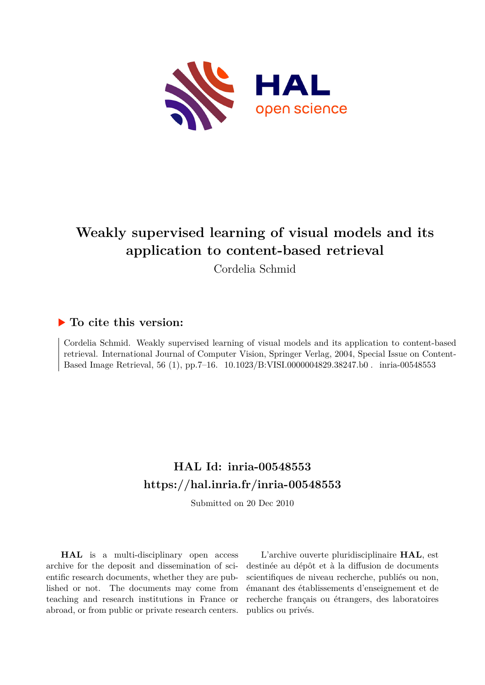

## **Weakly supervised learning of visual models and its application to content-based retrieval**

Cordelia Schmid

### **To cite this version:**

Cordelia Schmid. Weakly supervised learning of visual models and its application to content-based retrieval. International Journal of Computer Vision, Springer Verlag, 2004, Special Issue on Content-Based Image Retrieval, 56 (1), pp.7-16.  $10.1023/B:VISI.0000004829.38247.b0$ . inria-00548553

## **HAL Id: inria-00548553 <https://hal.inria.fr/inria-00548553>**

Submitted on 20 Dec 2010

**HAL** is a multi-disciplinary open access archive for the deposit and dissemination of scientific research documents, whether they are published or not. The documents may come from teaching and research institutions in France or abroad, or from public or private research centers.

L'archive ouverte pluridisciplinaire **HAL**, est destinée au dépôt et à la diffusion de documents scientifiques de niveau recherche, publiés ou non, émanant des établissements d'enseignement et de recherche français ou étrangers, des laboratoires publics ou privés.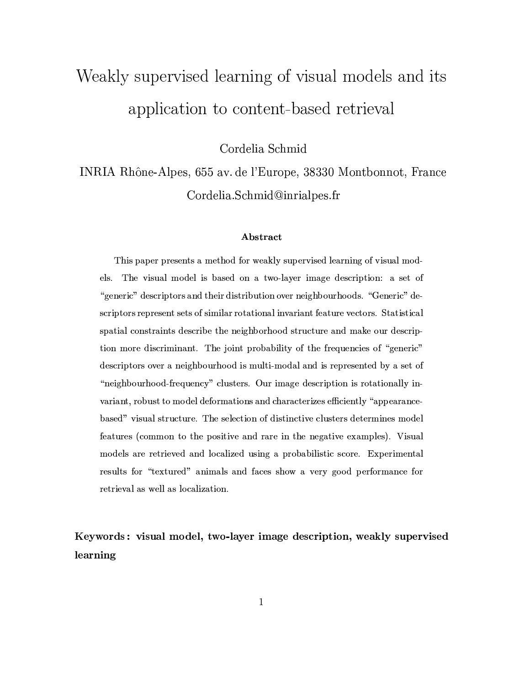# Weakly supervised learning of visual models and its application to content-based retrieval

Cordelia Schmid

INRIA Rhône-Alpes, 655 av. de l'Europe, 38330 Montbonnot, France Cordelia.Schmid@inrialpes.fr

#### **Abstract**

This paper presents a method for weakly supervised learning of visual models. The visual model is based on a two-layer image description: a set of "generic" descriptors and their distribution over neighbourhoods. "Generic" descriptors represent sets of similar rotational invariant feature vectors. Statistical spatial constraints describe the neighborhood structure and make our description more discriminant. The joint probability of the frequencies of "generic" descriptors over a neighbourhood is multi-modal and is represented by a set of "neighbourhood-frequency" clusters. Our image description is rotationally invariant, robust to model deformations and characterizes efficiently "appearancebased" visual structure. The selection of distinctive clusters determines model features (common to the positive and rare in the negative examples). Visual models are retrieved and localized using a probabilistic score. Experimental results for "textured" animals and faces show a very good performance for retrieval as well as localization.

Keywords: visual model, two-layer image description, weakly supervised learning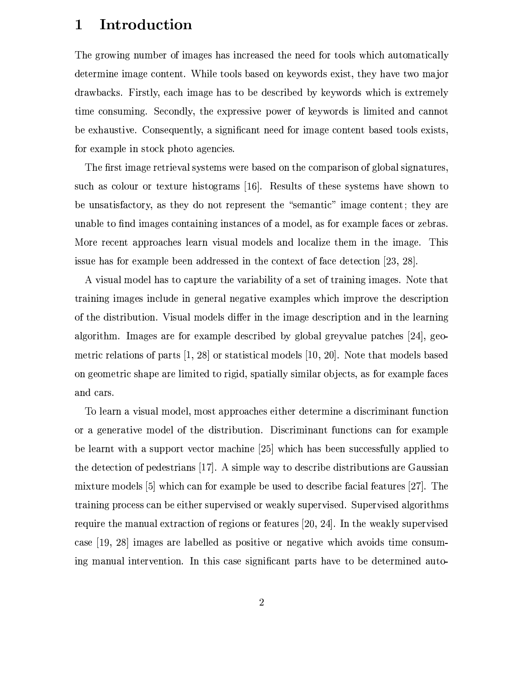#### Introduction  $\mathbf{1}$

The growing number of images has increased the need for tools which automatically determine image content. While tools based on keywords exist, they have two major drawbacks. Firstly, each image has to be described by keywords which is extremely time consuming. Secondly, the expressive power of keywords is limited and cannot be exhaustive. Consequently, a significant need for image content based tools exists, for example in stock photo agencies.

The first image retrieval systems were based on the comparison of global signatures, such as colour or texture histograms [16]. Results of these systems have shown to be unsatisfactory, as they do not represent the "semantic" image content; they are unable to find images containing instances of a model, as for example faces or zebras. More recent approaches learn visual models and localize them in the image. This issue has for example been addressed in the context of face detection  $[23, 28]$ .

A visual model has to capture the variability of a set of training images. Note that training images include in general negative examples which improve the description of the distribution. Visual models differ in the image description and in the learning algorithm. Images are for example described by global greyvalue patches [24], geometric relations of parts  $[1, 28]$  or statistical models  $[10, 20]$ . Note that models based on geometric shape are limited to rigid, spatially similar objects, as for example faces and cars.

To learn a visual model, most approaches either determine a discriminant function or a generative model of the distribution. Discriminant functions can for example be learnt with a support vector machine [25] which has been successfully applied to the detection of pedestrians [17]. A simple way to describe distributions are Gaussian mixture models  $[5]$  which can for example be used to describe facial features  $[27]$ . The training process can be either supervised or weakly supervised. Supervised algorithms require the manual extraction of regions or features  $[20, 24]$ . In the weakly supervised case [19, 28] images are labelled as positive or negative which avoids time consuming manual intervention. In this case significant parts have to be determined auto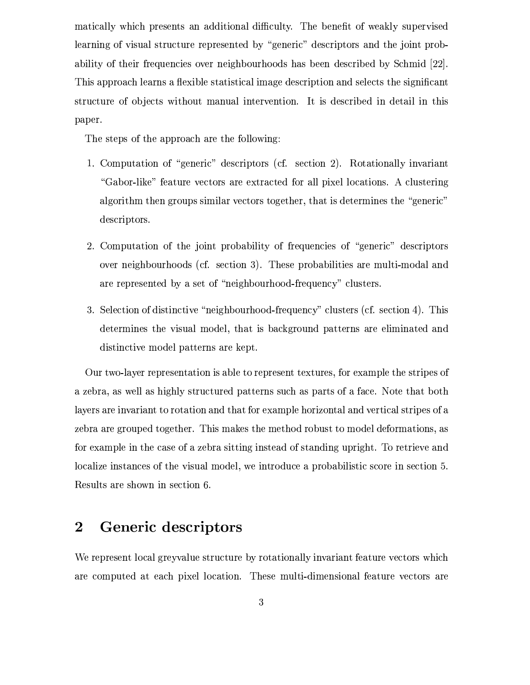matically which presents an additional difficulty. The benefit of weakly supervised learning of visual structure represented by "generic" descriptors and the joint probability of their frequencies over neighbourhoods has been described by Schmid [22]. This approach learns a flexible statistical image description and selects the significant structure of objects without manual intervention. It is described in detail in this paper.

The steps of the approach are the following:

- 1. Computation of "generic" descriptors (cf. section 2). Rotationally invariant "Gabor-like" feature vectors are extracted for all pixel locations. A clustering algorithm then groups similar vectors together, that is determines the "generic" descriptors.
- 2. Computation of the joint probability of frequencies of "generic" descriptors over neighbourhoods (cf. section 3). These probabilities are multi-modal and are represented by a set of "neighbourhood-frequency" clusters.
- 3. Selection of distinctive "neighbourhood-frequency" clusters (cf. section 4). This determines the visual model, that is background patterns are eliminated and distinctive model patterns are kept.

Our two-layer representation is able to represent textures, for example the stripes of a zebra, as well as highly structured patterns such as parts of a face. Note that both layers are invariant to rotation and that for example horizontal and vertical stripes of a zebra are grouped together. This makes the method robust to model deformations, as for example in the case of a zebra sitting instead of standing upright. To retrieve and localize instances of the visual model, we introduce a probabilistic score in section 5. Results are shown in section 6.

#### $\overline{2}$ Generic descriptors

We represent local greyvalue structure by rotationally invariant feature vectors which are computed at each pixel location. These multi-dimensional feature vectors are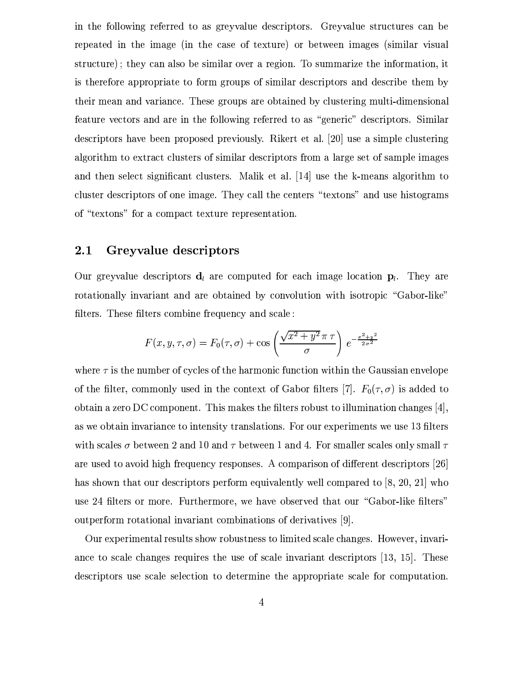in the following referred to as greyvalue descriptors. Greyvalue structures can be repeated in the image (in the case of texture) or between images (similar visual structure); they can also be similar over a region. To summarize the information, it is therefore appropriate to form groups of similar descriptors and describe them by their mean and variance. These groups are obtained by clustering multi-dimensional feature vectors and are in the following referred to as "generic" descriptors. Similar descriptors have been proposed previously. Rikert et al. [20] use a simple clustering algorithm to extract clusters of similar descriptors from a large set of sample images and then select significant clusters. Malik et al. [14] use the k-means algorithm to cluster descriptors of one image. They call the centers "textons" and use histograms of "textons" for a compact texture representation.

#### 2.1 Greyvalue descriptors

Our greyvalue descriptors  $d_i$  are computed for each image location  $p_i$ . They are rotationally invariant and are obtained by convolution with isotropic "Gabor-like" filters. These filters combine frequency and scale:

$$
F(x, y, \tau, \sigma) = F_0(\tau, \sigma) + \cos\left(\frac{\sqrt{x^2 + y^2} \pi \tau}{\sigma}\right) e^{-\frac{x^2 + y^2}{2\sigma^2}}
$$

where  $\tau$  is the number of cycles of the harmonic function within the Gaussian envelope of the filter, commonly used in the context of Gabor filters [7].  $F_0(\tau, \sigma)$  is added to obtain a zero DC component. This makes the filters robust to illumination changes  $[4]$ , as we obtain invariance to intensity translations. For our experiments we use 13 filters with scales  $\sigma$  between 2 and 10 and  $\tau$  between 1 and 4. For smaller scales only small  $\tau$ are used to avoid high frequency responses. A comparison of different descriptors [26] has shown that our descriptors perform equivalently well compared to [8, 20, 21] who use 24 filters or more. Furthermore, we have observed that our "Gabor-like filters" outperform rotational invariant combinations of derivatives [9].

Our experimental results show robustness to limited scale changes. However, invariance to scale changes requires the use of scale invariant descriptors [13, 15]. These descriptors use scale selection to determine the appropriate scale for computation.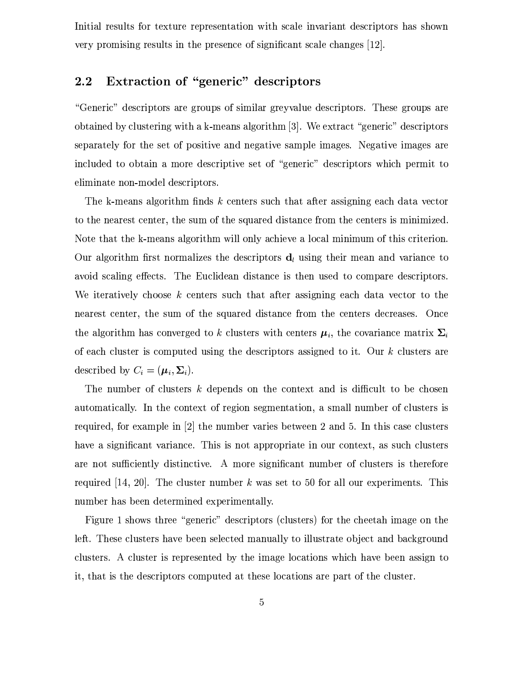Initial results for texture representation with scale invariant descriptors has shown very promising results in the presence of significant scale changes [12].

#### Extraction of "generic" descriptors  $2.2$

"Generic" descriptors are groups of similar greyvalue descriptors. These groups are obtained by clustering with a k-means algorithm [3]. We extract "generic" descriptors separately for the set of positive and negative sample images. Negative images are included to obtain a more descriptive set of "generic" descriptors which permit to eliminate non-model descriptors.

The k-means algorithm finds k centers such that after assigning each data vector to the nearest center, the sum of the squared distance from the centers is minimized. Note that the k-means algorithm will only achieve a local minimum of this criterion. Our algorithm first normalizes the descriptors  $d_l$  using their mean and variance to avoid scaling effects. The Euclidean distance is then used to compare descriptors. We iteratively choose k centers such that after assigning each data vector to the nearest center, the sum of the squared distance from the centers decreases. Once the algorithm has converged to k clusters with centers  $\mu_i$ , the covariance matrix  $\Sigma_i$ of each cluster is computed using the descriptors assigned to it. Our  $k$  clusters are described by  $C_i = (\mu_i, \Sigma_i)$ .

The number of clusters k depends on the context and is difficult to be chosen automatically. In the context of region segmentation, a small number of clusters is required, for example in  $\lbrack 2\rbrack$  the number varies between 2 and 5. In this case clusters have a significant variance. This is not appropriate in our context, as such clusters are not sufficiently distinctive. A more significant number of clusters is therefore required [14, 20]. The cluster number  $k$  was set to 50 for all our experiments. This number has been determined experimentally.

Figure 1 shows three "generic" descriptors (clusters) for the cheetah image on the left. These clusters have been selected manually to illustrate object and background clusters. A cluster is represented by the image locations which have been assign to it, that is the descriptors computed at these locations are part of the cluster.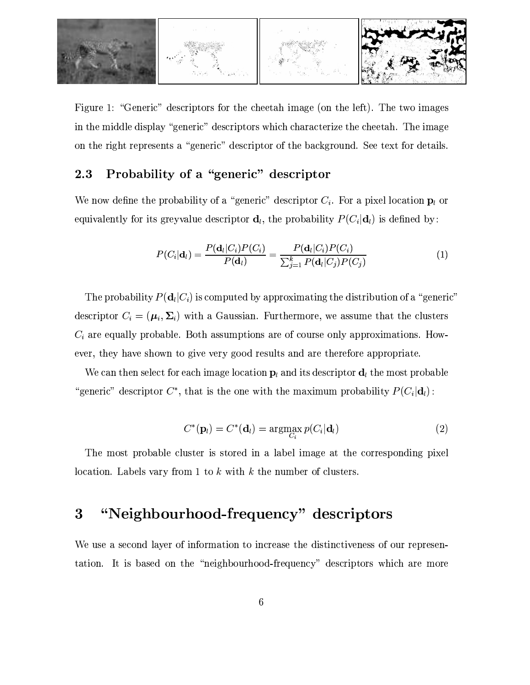

Figure 1: "Generic" descriptors for the cheetah image (on the left). The two images in the middle display "generic" descriptors which characterize the cheetah. The image on the right represents a "generic" descriptor of the background. See text for details.

#### Probability of a "generic" descriptor 2.3

We now define the probability of a "generic" descriptor  $C_i$ . For a pixel location  $p_i$  or equivalently for its greyvalue descriptor  $\mathbf{d}_l$ , the probability  $P(C_i|\mathbf{d}_l)$  is defined by:

$$
P(C_i|\mathbf{d}_l) = \frac{P(\mathbf{d}_l|C_i)P(C_i)}{P(\mathbf{d}_l)} = \frac{P(\mathbf{d}_l|C_i)P(C_i)}{\sum_{j=1}^k P(\mathbf{d}_l|C_j)P(C_j)}
$$
(1)

The probability  $P(\mathbf{d}_l|C_i)$  is computed by approximating the distribution of a "generic" descriptor  $C_i = (\mu_i, \Sigma_i)$  with a Gaussian. Furthermore, we assume that the clusters  $C_i$  are equally probable. Both assumptions are of course only approximations. However, they have shown to give very good results and are therefore appropriate.

We can then select for each image location  $p_i$  and its descriptor  $d_i$  the most probable "generic" descriptor  $C^*$ , that is the one with the maximum probability  $P(C_i|\mathbf{d}_i)$ :

$$
C^*(\mathbf{p}_l) = C^*(\mathbf{d}_l) = \operatorname{argmax}_{C_i} p(C_i|\mathbf{d}_l)
$$
\n(2)

The most probable cluster is stored in a label image at the corresponding pixel location. Labels vary from 1 to  $k$  with  $k$  the number of clusters.

#### "Neighbourhood-frequency" descriptors 3

We use a second layer of information to increase the distinctiveness of our representation. It is based on the "neighbourhood-frequency" descriptors which are more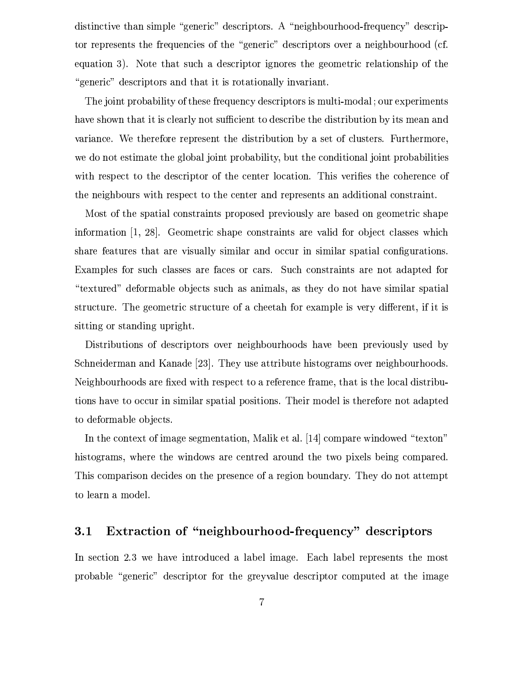distinctive than simple "generic" descriptors. A "neighbourhood-frequency" descriptor represents the frequencies of the "generic" descriptors over a neighbourhood (cf. equation 3). Note that such a descriptor ignores the geometric relationship of the "generic" descriptors and that it is rotationally invariant.

The joint probability of these frequency descriptors is multi-modal; our experiments have shown that it is clearly not sufficient to describe the distribution by its mean and variance. We therefore represent the distribution by a set of clusters. Furthermore, we do not estimate the global joint probability, but the conditional joint probabilities with respect to the descriptor of the center location. This verifies the coherence of the neighbours with respect to the center and represents an additional constraint.

Most of the spatial constraints proposed previously are based on geometric shape information [1, 28]. Geometric shape constraints are valid for object classes which share features that are visually similar and occur in similar spatial configurations. Examples for such classes are faces or cars. Such constraints are not adapted for "textured" deformable objects such as animals, as they do not have similar spatial structure. The geometric structure of a cheetah for example is very different, if it is sitting or standing upright.

Distributions of descriptors over neighbourhoods have been previously used by Schneiderman and Kanade [23]. They use attribute histograms over neighbourhoods. Neighbourhoods are fixed with respect to a reference frame, that is the local distributions have to occur in similar spatial positions. Their model is therefore not adapted to deformable objects.

In the context of image segmentation, Malik et al. [14] compare windowed "texton" histograms, where the windows are centred around the two pixels being compared. This comparison decides on the presence of a region boundary. They do not attempt to learn a model.

#### Extraction of "neighbourhood-frequency" descriptors  $3.1$

In section 2.3 we have introduced a label image. Each label represents the most probable "generic" descriptor for the greyvalue descriptor computed at the image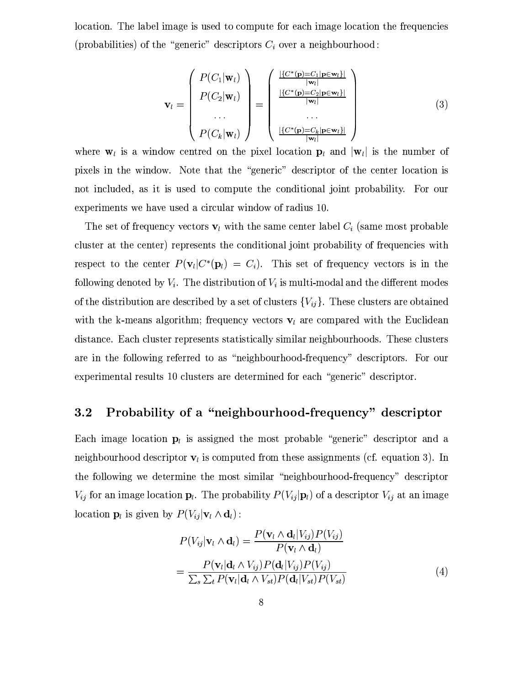location. The label image is used to compute for each image location the frequencies (probabilities) of the "generic" descriptors  $C_i$  over a neighbourhood:

$$
\mathbf{v}_{l} = \begin{pmatrix} P(C_{1}|\mathbf{w}_{l}) \\ P(C_{2}|\mathbf{w}_{l}) \\ \cdots \\ P(C_{k}|\mathbf{w}_{l}) \end{pmatrix} = \begin{pmatrix} \frac{|\{C^{*}(\mathbf{p})=C_{1}|\mathbf{p}\in\mathbf{w}_{l}\}|}{|\mathbf{w}_{l}|} \\ \frac{|\{C^{*}(\mathbf{p})=C_{2}|\mathbf{p}\in\mathbf{w}_{l}\}|}{|\mathbf{w}_{l}|} \\ \cdots \\ \frac{|\{C^{*}(\mathbf{p})=C_{k}|\mathbf{p}\in\mathbf{w}_{l}\}|}{|\mathbf{w}_{l}|} \end{pmatrix}
$$
(3)

where  $\mathbf{w}_l$  is a window centred on the pixel location  $\mathbf{p}_l$  and  $|\mathbf{w}_l|$  is the number of pixels in the window. Note that the "generic" descriptor of the center location is not included, as it is used to compute the conditional joint probability. For our experiments we have used a circular window of radius 10.

The set of frequency vectors  $\mathbf{v}_l$  with the same center label  $C_i$  (same most probable cluster at the center) represents the conditional joint probability of frequencies with respect to the center  $P(\mathbf{v}_l|C^*(\mathbf{p}_l) = C_i)$ . This set of frequency vectors is in the following denoted by  $V_i$ . The distribution of  $V_i$  is multi-modal and the different modes of the distribution are described by a set of clusters  ${V_{ij}}$ . These clusters are obtained with the k-means algorithm; frequency vectors  $v_l$  are compared with the Euclidean distance. Each cluster represents statistically similar neighbourhoods. These clusters are in the following referred to as "neighbourhood-frequency" descriptors. For our experimental results 10 clusters are determined for each "generic" descriptor.

#### Probability of a "neighbourhood-frequency" descriptor  $3.2$

Each image location  $p_i$  is assigned the most probable "generic" descriptor and a neighbourhood descriptor  $\mathbf{v}_l$  is computed from these assignments (cf. equation 3). In the following we determine the most similar "neighbourhood-frequency" descriptor  $V_{ij}$  for an image location  $\mathbf{p}_l$ . The probability  $P(V_{ij}|\mathbf{p}_l)$  of a descriptor  $V_{ij}$  at an image location  $\mathbf{p}_l$  is given by  $P(V_{ij}|\mathbf{v}_l \wedge \mathbf{d}_l)$ :

$$
P(V_{ij}|\mathbf{v}_l \wedge \mathbf{d}_l) = \frac{P(\mathbf{v}_l \wedge \mathbf{d}_l | V_{ij}) P(V_{ij})}{P(\mathbf{v}_l \wedge \mathbf{d}_l)}
$$
  
= 
$$
\frac{P(\mathbf{v}_l | \mathbf{d}_l \wedge V_{ij}) P(\mathbf{d}_l | V_{ij}) P(V_{ij})}{\sum_s \sum_t P(\mathbf{v}_l | \mathbf{d}_l \wedge V_{st}) P(\mathbf{d}_l | V_{st}) P(V_{st})}
$$
(4)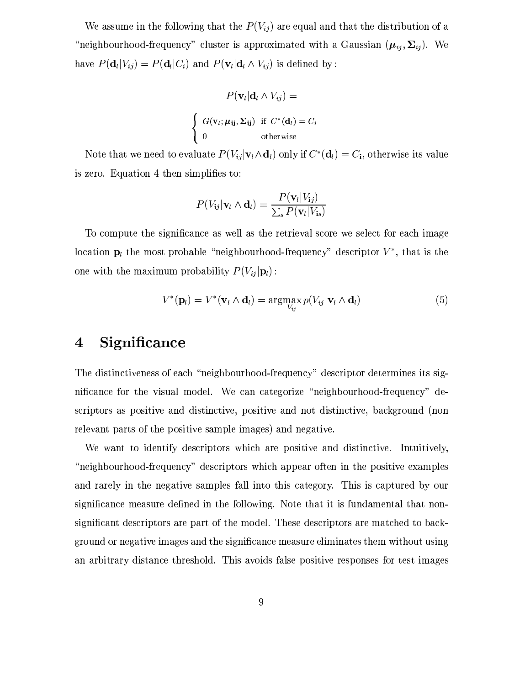We assume in the following that the  $P(V_{ij})$  are equal and that the distribution of a "neighbourhood-frequency" cluster is approximated with a Gaussian  $(\mu_{ij}, \Sigma_{ij})$ . We have  $P(\mathbf{d}_l|V_{ij}) = P(\mathbf{d}_l|C_i)$  and  $P(\mathbf{v}_l|\mathbf{d}_l \wedge V_{ij})$  is defined by:

$$
P(\mathbf{v}_l|\mathbf{d}_l \wedge V_{ij}) =
$$
\n
$$
\begin{cases}\nG(\mathbf{v}_l; \mu_{ij}, \Sigma_{ij}) & \text{if } C^*(\mathbf{d}_l) = C_i \\
0 & \text{otherwise}\n\end{cases}
$$

Note that we need to evaluate  $P(V_{ij}|\mathbf{v}_l \wedge \mathbf{d}_l)$  only if  $C^*(\mathbf{d}_l) = C_i$ , otherwise its value is zero. Equation 4 then simplifies to:

$$
P(V_{ij}|\mathbf{v}_l \wedge \mathbf{d}_l) = \frac{P(\mathbf{v}_l|V_{ij})}{\sum_s P(\mathbf{v}_l|V_{is})}
$$

To compute the significance as well as the retrieval score we select for each image location  $p_l$  the most probable "neighbourhood-frequency" descriptor  $V^*$ , that is the one with the maximum probability  $P(V_{ij}|\mathbf{p}_l)$ :

$$
V^*(\mathbf{p}_l) = V^*(\mathbf{v}_l \wedge \mathbf{d}_l) = \operatorname*{argmax}_{V_{ij}} p(V_{ij}|\mathbf{v}_l \wedge \mathbf{d}_l)
$$
(5)

#### Significance  $\boldsymbol{4}$

The distinctiveness of each "neighbourhood-frequency" descriptor determines its significance for the visual model. We can categorize "neighbourhood-frequency" descriptors as positive and distinctive, positive and not distinctive, background (non relevant parts of the positive sample images) and negative.

We want to identify descriptors which are positive and distinctive. Intuitively, "neighbourhood-frequency" descriptors which appear often in the positive examples and rarely in the negative samples fall into this category. This is captured by our significance measure defined in the following. Note that it is fundamental that nonsignificant descriptors are part of the model. These descriptors are matched to background or negative images and the significance measure eliminates them without using an arbitrary distance threshold. This avoids false positive responses for test images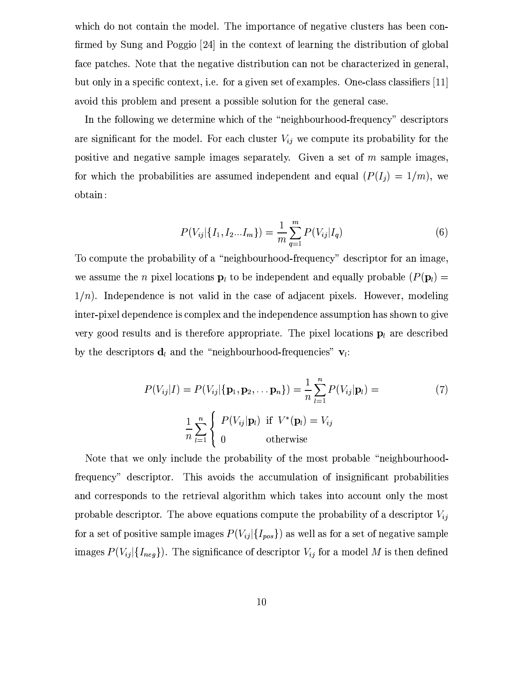which do not contain the model. The importance of negative clusters has been confirmed by Sung and Poggio [24] in the context of learning the distribution of global face patches. Note that the negative distribution can not be characterized in general, but only in a specific context, i.e. for a given set of examples. One-class classifiers [11] avoid this problem and present a possible solution for the general case.

In the following we determine which of the "neighbourhood-frequency" descriptors are significant for the model. For each cluster  $V_{ij}$  we compute its probability for the positive and negative sample images separately. Given a set of  $m$  sample images, for which the probabilities are assumed independent and equal  $(P(I_i) = 1/m)$ , we obtain:

$$
P(V_{ij}|\{I_1, I_2...I_m\}) = \frac{1}{m} \sum_{q=1}^{m} P(V_{ij}|I_q)
$$
 (6)

To compute the probability of a "neighbourhood-frequency" descriptor for an image. we assume the *n* pixel locations  $\mathbf{p}_l$  to be independent and equally probable  $(P(\mathbf{p}_l)$  =  $1/n$ ). Independence is not valid in the case of adjacent pixels. However, modeling inter-pixel dependence is complex and the independence assumption has shown to give very good results and is therefore appropriate. The pixel locations  $\mathbf{p}_l$  are described by the descriptors  $\mathbf{d}_l$  and the "neighbourhood-frequencies"  $\mathbf{v}_l$ :

$$
P(V_{ij}|I) = P(V_{ij}|\{\mathbf{p}_1, \mathbf{p}_2, \dots, \mathbf{p}_n\}) = \frac{1}{n} \sum_{l=1}^n P(V_{ij}|\mathbf{p}_l) =
$$
  

$$
\frac{1}{n} \sum_{l=1}^n \begin{cases} P(V_{ij}|\mathbf{p}_l) & \text{if } V^*(\mathbf{p}_l) = V_{ij} \\ 0 & \text{otherwise} \end{cases}
$$
 (7)

Note that we only include the probability of the most probable "neighbourhoodfrequency" descriptor. This avoids the accumulation of insignificant probabilities and corresponds to the retrieval algorithm which takes into account only the most probable descriptor. The above equations compute the probability of a descriptor  $V_{ij}$ for a set of positive sample images  $P(V_{ij} | \{I_{pos}\})$  as well as for a set of negative sample images  $P(V_{ij}|{I_{neg}})$ . The significance of descriptor  $V_{ij}$  for a model M is then defined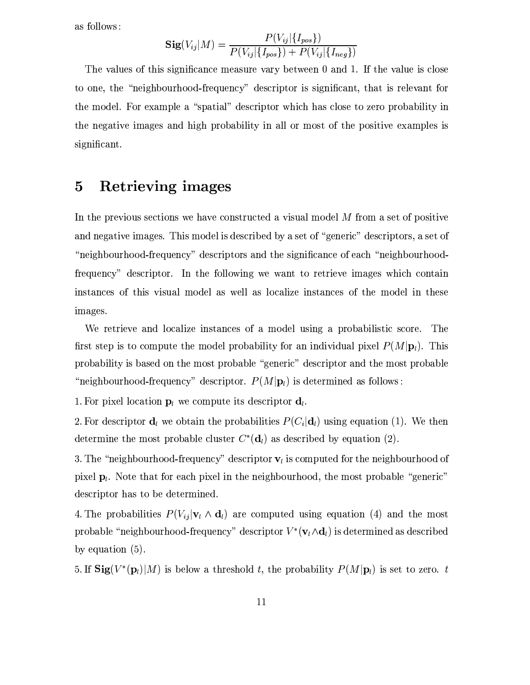as follows:

$$
Sig(V_{ij}|M) = \frac{P(V_{ij}|\{I_{pos}\})}{P(V_{ij}|\{I_{pos}\}) + P(V_{ij}|\{I_{neg}\})}
$$

The values of this significance measure vary between 0 and 1. If the value is close to one, the "neighbourhood-frequency" descriptor is significant, that is relevant for the model. For example a "spatial" descriptor which has close to zero probability in the negative images and high probability in all or most of the positive examples is significant.

#### Retrieving images  $\overline{5}$

In the previous sections we have constructed a visual model M from a set of positive and negative images. This model is described by a set of "generic" descriptors, a set of "neighbourhood-frequency" descriptors and the significance of each "neighbourhoodfrequency" descriptor. In the following we want to retrieve images which contain instances of this visual model as well as localize instances of the model in these images.

We retrieve and localize instances of a model using a probabilistic score. The first step is to compute the model probability for an individual pixel  $P(M|\mathbf{p}_l)$ . This probability is based on the most probable "generic" descriptor and the most probable "neighbourhood-frequency" descriptor.  $P(M|\mathbf{p}_l)$  is determined as follows:

1. For pixel location  $\mathbf{p}_l$  we compute its descriptor  $\mathbf{d}_l$ .

2. For descriptor  $\mathbf{d}_l$  we obtain the probabilities  $P(C_i|\mathbf{d}_l)$  using equation (1). We then determine the most probable cluster  $C^*(d_i)$  as described by equation (2).

3. The "neighbourhood-frequency" descriptor  $v_i$  is computed for the neighbourhood of pixel  $\mathbf{p}_l$ . Note that for each pixel in the neighbourhood, the most probable "generic" descriptor has to be determined.

4. The probabilities  $P(V_{ij}|\mathbf{v}_l \wedge \mathbf{d}_l)$  are computed using equation (4) and the most probable "neighbourhood-frequency" descriptor  $V^*(v_l \wedge d_l)$  is determined as described by equation  $(5)$ .

5. If  $\text{Sig}(V^*(\mathbf{p}_l)|M)$  is below a threshold t, the probability  $P(M|\mathbf{p}_l)$  is set to zero. t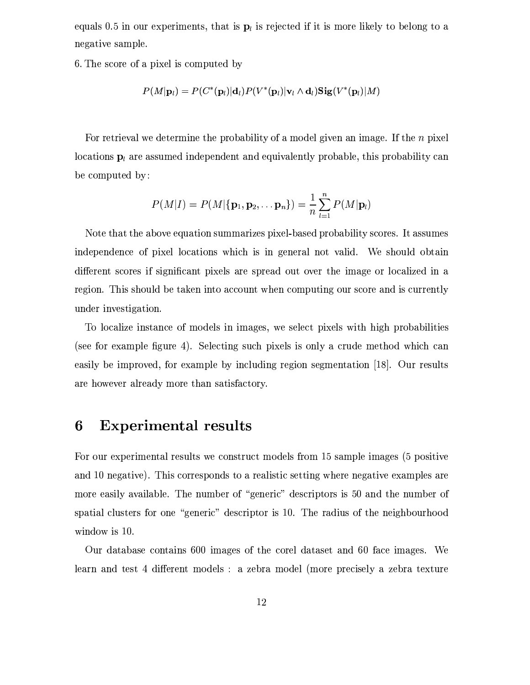equals 0.5 in our experiments, that is  $\mathbf{p}_l$  is rejected if it is more likely to belong to a negative sample.

6. The score of a pixel is computed by

$$
P(M|\mathbf{p}_l) = P(C^*(\mathbf{p}_l)|\mathbf{d}_l)P(V^*(\mathbf{p}_l)|\mathbf{v}_l \wedge \mathbf{d}_l)\mathbf{Sig}(V^*(\mathbf{p}_l)|M)
$$

For retrieval we determine the probability of a model given an image. If the  $n$  pixel locations  $\mathbf{p}_l$  are assumed independent and equivalently probable, this probability can be computed by:

$$
P(M|I) = P(M|\{\mathbf{p}_1, \mathbf{p}_2, \ldots \mathbf{p}_n\}) = \frac{1}{n} \sum_{l=1}^n P(M|\mathbf{p}_l)
$$

Note that the above equation summarizes pixel-based probability scores. It assumes independence of pixel locations which is in general not valid. We should obtain different scores if significant pixels are spread out over the image or localized in a region. This should be taken into account when computing our score and is currently under investigation.

To localize instance of models in images, we select pixels with high probabilities (see for example figure 4). Selecting such pixels is only a crude method which can easily be improved, for example by including region segmentation [18]. Our results are however already more than satisfactory.

#### 6 **Experimental results**

For our experimental results we construct models from 15 sample images (5 positive and 10 negative). This corresponds to a realistic setting where negative examples are more easily available. The number of "generic" descriptors is 50 and the number of spatial clusters for one "generic" descriptor is 10. The radius of the neighbourhood window is 10.

Our database contains 600 images of the corel dataset and 60 face images. We learn and test 4 different models : a zebra model (more precisely a zebra texture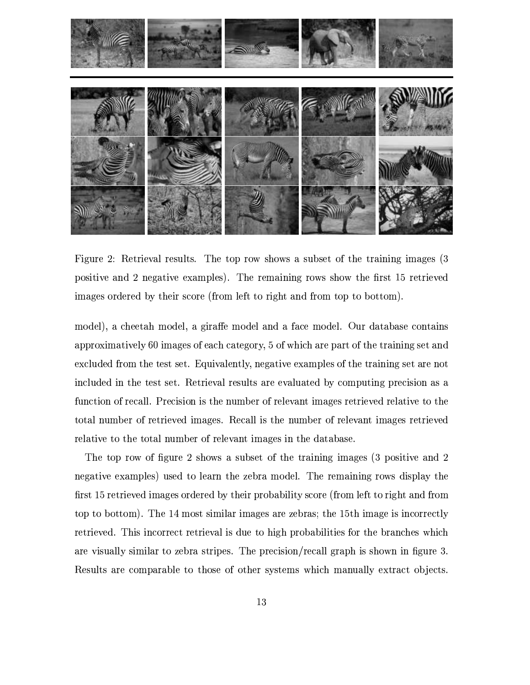

Figure 2: Retrieval results. The top row shows a subset of the training images (3) positive and 2 negative examples). The remaining rows show the first 15 retrieved images ordered by their score (from left to right and from top to bottom).

model), a cheetah model, a giraffe model and a face model. Our database contains approximatively 60 images of each category, 5 of which are part of the training set and excluded from the test set. Equivalently, negative examples of the training set are not included in the test set. Retrieval results are evaluated by computing precision as a function of recall. Precision is the number of relevant images retrieved relative to the total number of retrieved images. Recall is the number of relevant images retrieved relative to the total number of relevant images in the database.

The top row of figure 2 shows a subset of the training images (3 positive and 2) negative examples) used to learn the zebra model. The remaining rows display the first 15 retrieved images ordered by their probability score (from left to right and from top to bottom). The 14 most similar images are zebras; the 15th image is incorrectly retrieved. This incorrect retrieval is due to high probabilities for the branches which are visually similar to zebra stripes. The precision/recall graph is shown in figure 3. Results are comparable to those of other systems which manually extract objects.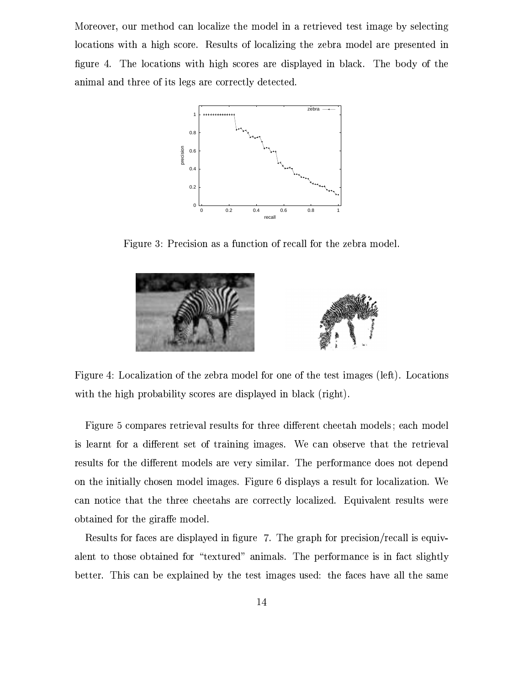Moreover, our method can localize the model in a retrieved test image by selecting locations with a high score. Results of localizing the zebra model are presented in figure 4. The locations with high scores are displayed in black. The body of the animal and three of its legs are correctly detected.



Figure 3: Precision as a function of recall for the zebra model.





Figure 5 compares retrieval results for three different cheetah models; each model is learnt for a different set of training images. We can observe that the retrieval results for the different models are very similar. The performance does not depend on the initially chosen model images. Figure 6 displays a result for localization. We can notice that the three cheetahs are correctly localized. Equivalent results were obtained for the giraffe model.

Results for faces are displayed in figure 7. The graph for precision/recall is equivalent to those obtained for "textured" animals. The performance is in fact slightly better. This can be explained by the test images used: the faces have all the same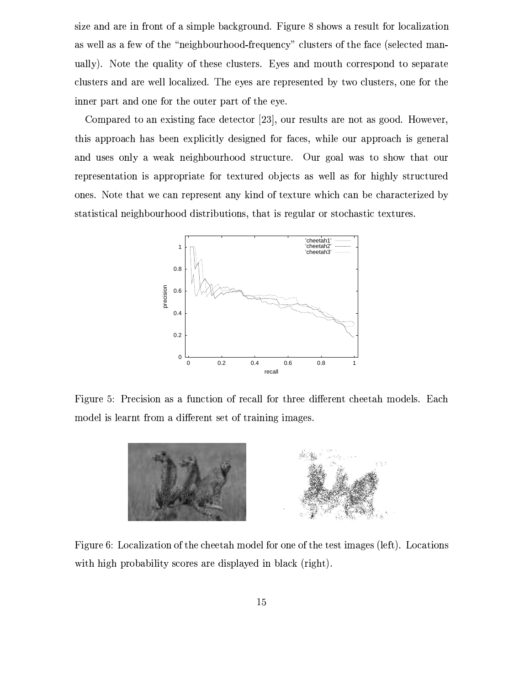size and are in front of a simple background. Figure 8 shows a result for localization as well as a few of the "neighbourhood-frequency" clusters of the face (selected manually). Note the quality of these clusters. Eyes and mouth correspond to separate clusters and are well localized. The eyes are represented by two clusters, one for the inner part and one for the outer part of the eye.

Compared to an existing face detector [23], our results are not as good. However, this approach has been explicitly designed for faces, while our approach is general and uses only a weak neighbourhood structure. Our goal was to show that our representation is appropriate for textured objects as well as for highly structured ones. Note that we can represent any kind of texture which can be characterized by statistical neighbourhood distributions, that is regular or stochastic textures.



Figure 5: Precision as a function of recall for three different cheetah models. Each model is learnt from a different set of training images.



Figure 6: Localization of the cheetah model for one of the test images (left). Locations with high probability scores are displayed in black (right).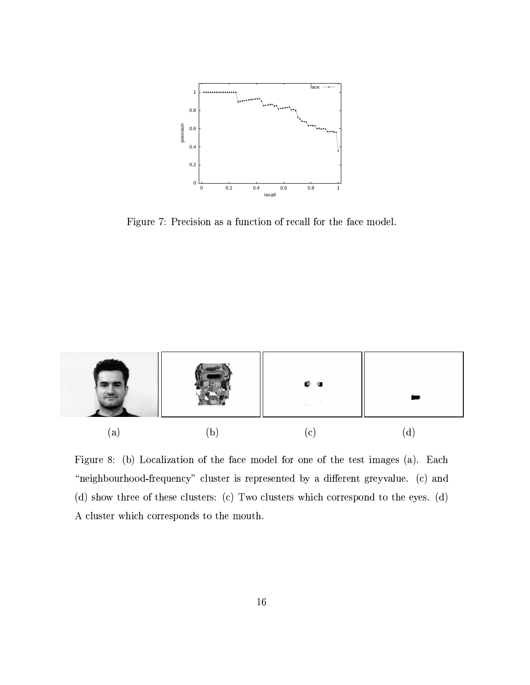

Figure 7: Precision as a function of recall for the face model.



Figure 8: (b) Localization of the face model for one of the test images (a). Each "neighbourhood-frequency" cluster is represented by a different greyvalue. (c) and (d) show three of these clusters: (c) Two clusters which correspond to the eyes. (d) A cluster which corresponds to the mouth.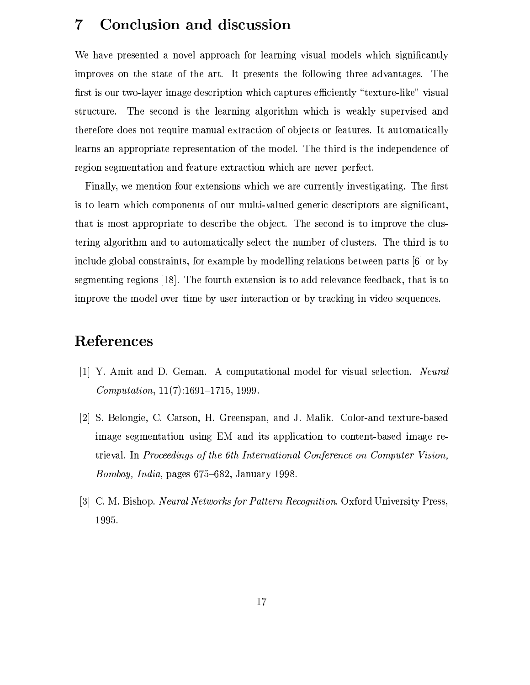#### $\overline{7}$ Conclusion and discussion

We have presented a novel approach for learning visual models which significantly improves on the state of the art. It presents the following three advantages. The first is our two-layer image description which captures efficiently "texture-like" visual The second is the learning algorithm which is weakly supervised and structure. therefore does not require manual extraction of objects or features. It automatically learns an appropriate representation of the model. The third is the independence of region segmentation and feature extraction which are never perfect.

Finally, we mention four extensions which we are currently investigating. The first is to learn which components of our multi-valued generic descriptors are significant. that is most appropriate to describe the object. The second is to improve the clustering algorithm and to automatically select the number of clusters. The third is to include global constraints, for example by modelling relations between parts [6] or by segmenting regions  $[18]$ . The fourth extension is to add relevance feedback, that is to improve the model over time by user interaction or by tracking in video sequences.

## References

- [1] Y. Amit and D. Geman. A computational model for visual selection. Neural *Computation*,  $11(7):1691-1715$ , 1999.
- [2] S. Belongie, C. Carson, H. Greenspan, and J. Malik. Color-and texture-based image segmentation using EM and its application to content-based image retrieval. In Proceedings of the 6th International Conference on Computer Vision, *Bombay, India, pages 675-682, January 1998.*
- [3] C. M. Bishop. *Neural Networks for Pattern Recognition*. Oxford University Press, 1995.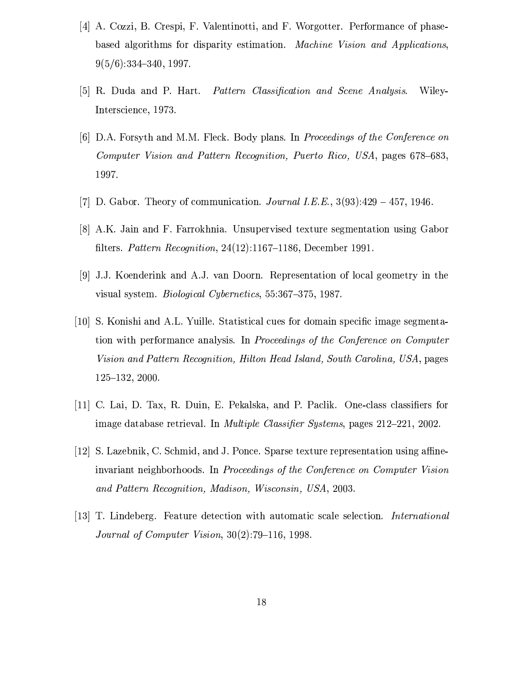- [4] A. Cozzi, B. Crespi, F. Valentinotti, and F. Worgotter. Performance of phasebased algorithms for disparity estimation. Machine Vision and Applications.  $9(5/6):334-340.1997.$
- [5] R. Duda and P. Hart. Pattern Classification and Scene Analysis. Wiley-Interscience, 1973.
- [6] D.A. Forsyth and M.M. Fleck. Body plans. In Proceedings of the Conference on Computer Vision and Pattern Recognition, Puerto Rico, USA, pages 678–683, 1997.
- [7] D. Gabor. Theory of communication. *Journal I.E.E.*,  $3(93):429 457$ , 1946.
- [8] A.K. Jain and F. Farrokhnia. Unsupervised texture segmentation using Gabor filters. Pattern Recognition, 24(12):1167-1186, December 1991.
- [9] J.J. Koenderink and A.J. van Doorn. Representation of local geometry in the visual system. *Biological Cybernetics*, 55:367-375, 1987.
- [10] S. Konishi and A.L. Yuille. Statistical cues for domain specific image segmentation with performance analysis. In Proceedings of the Conference on Computer Vision and Pattern Recognition, Hilton Head Island, South Carolina, USA, pages  $125 - 132$ , 2000.
- [11] C. Lai, D. Tax, R. Duin, E. Pekalska, and P. Paclik. One-class classifiers for image database retrieval. In *Multiple Classifier Systems*, pages 212-221, 2002.
- [12] S. Lazebnik, C. Schmid, and J. Ponce. Sparse texture representation using affineinvariant neighborhoods. In Proceedings of the Conference on Computer Vision and Pattern Recognition, Madison, Wisconsin, USA, 2003.
- [13] T. Lindeberg. Feature detection with automatic scale selection. International *Journal of Computer Vision,*  $30(2)$ :79-116, 1998.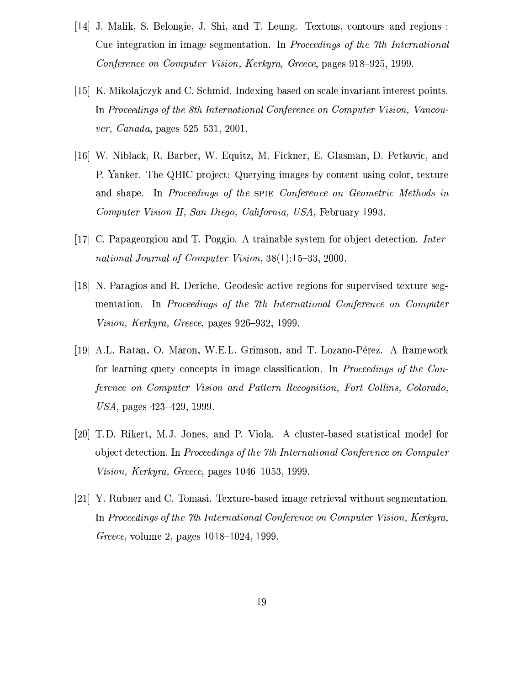- [14] J. Malik, S. Belongie, J. Shi, and T. Leung. Textons, contours and regions: Cue integration in image segmentation. In Proceedings of the 7th International Conference on Computer Vision, Kerkyra, Greece, pages 918–925, 1999.
- [15] K. Mikolajczyk and C. Schmid. Indexing based on scale invariant interest points. In Proceedings of the 8th International Conference on Computer Vision, Vancouver, Canada, pages 525-531, 2001.
- [16] W. Niblack, R. Barber, W. Equitz, M. Fickner, E. Glasman, D. Petkovic, and P. Yanker. The QBIC project: Querying images by content using color, texture and shape. In Proceedings of the SPIE Conference on Geometric Methods in Computer Vision II, San Diego, California, USA, February 1993.
- [17] C. Papageorgiou and T. Poggio. A trainable system for object detection. *Inter*national Journal of Computer Vision, 38(1):15-33, 2000.
- [18] N. Paragios and R. Deriche. Geodesic active regions for supervised texture segmentation. In Proceedings of the 7th International Conference on Computer Vision, Kerkyra, Greece, pages 926–932, 1999.
- [19] A.L. Ratan, O. Maron, W.E.L. Grimson, and T. Lozano-Pérez. A framework for learning query concepts in image classification. In *Proceedings of the Con*ference on Computer Vision and Pattern Recognition, Fort Collins, Colorado, USA, pages  $423-429$ , 1999.
- [20] T.D. Rikert, M.J. Jones, and P. Viola. A cluster-based statistical model for object detection. In Proceedings of the 7th International Conference on Computer Vision, Kerkyra, Greece, pages 1046–1053, 1999.
- [21] Y. Rubner and C. Tomasi. Texture-based image retrieval without segmentation. In Proceedings of the 7th International Conference on Computer Vision, Kerkyra, *Greece*, volume 2, pages 1018–1024, 1999.